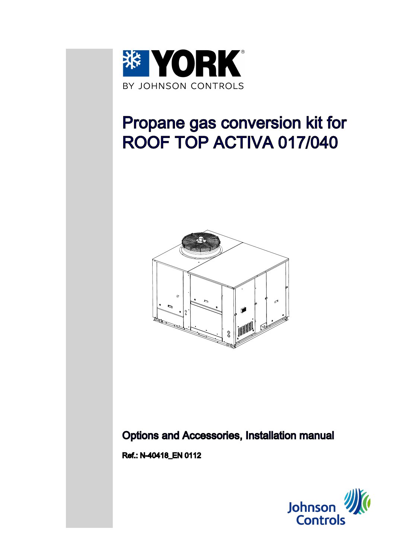

# Propane gas conversion kit for ROOF TOP ACTIVA 017/040



# Options and Accessories, Installation manual

Ref.: N-40418\_EN 0112

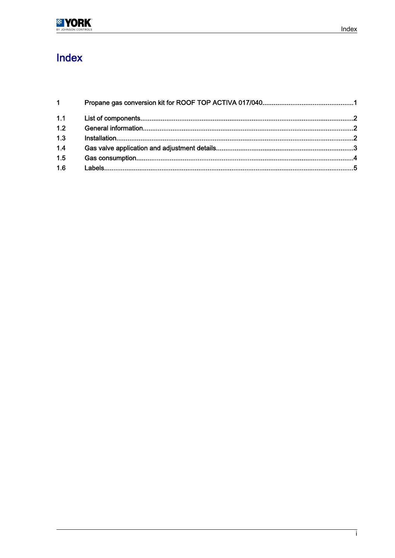| $1 \quad$ |  |
|-----------|--|
| 1.1       |  |
| 1.2       |  |
| 1.3       |  |
| 1.4       |  |
| 1.5       |  |
| 1.6       |  |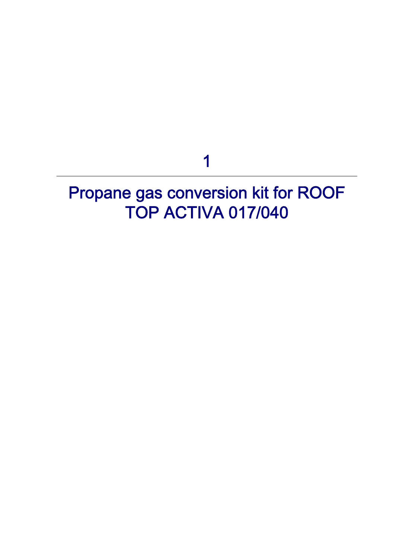1

# <span id="page-2-0"></span>Propane gas conversion kit for ROOF TOP ACTIVA 017/040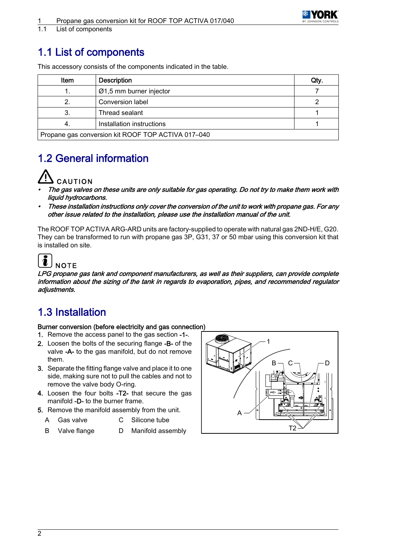

<span id="page-3-0"></span>1.1 List of components

### 1.1 List of components

| Item                                               | <b>Description</b>        | Qty. |  |  |  |
|----------------------------------------------------|---------------------------|------|--|--|--|
|                                                    | $Ø1,5$ mm burner injector |      |  |  |  |
|                                                    | Conversion label          |      |  |  |  |
|                                                    | Thread sealant            |      |  |  |  |
| 4.                                                 | Installation instructions |      |  |  |  |
| Propane gas conversion kit ROOF TOP ACTIVA 017-040 |                           |      |  |  |  |

This accessory consists of the components indicated in the table.

## 1.2 General information



- • The gas valves on these units are only suitable for gas operating. Do not try to make them work with liquid hydrocarbons.
- • These installation instructions only cover the conversion of the unit to work with propane gas. For any other issue related to the installation, please use the installation manual of the unit.

The ROOF TOP ACTIVA ARG-ARD units are factory-supplied to operate with natural gas 2ND-H/E, G20. They can be transformed to run with propane gas 3P, G31, 37 or 50 mbar using this conversion kit that is installed on site.

### $\tilde{\bm{l}}$ **NOTE**

LPG propane gas tank and component manufacturers, as well as their suppliers, can provide complete information about the sizing of the tank in regards to evaporation, pipes, and recommended regulator adjustments.

## 1.3 Installation

### Burner conversion (before electricity and gas connection)

- 1. Remove the access panel to the gas section -1-.
- 2. Loosen the bolts of the securing flange -B- of the valve -A- to the gas manifold, but do not remove them.
- 3. Separate the fitting flange valve and place it to one side, making sure not to pull the cables and not to remove the valve body O-ring.
- 4. Loosen the four bolts -T2- that secure the gas manifold -D- to the burner frame.
- 5. Remove the manifold assembly from the unit.
	- A Gas valve C Silicone tube
	- B Valve flange D Manifold assembly D T2

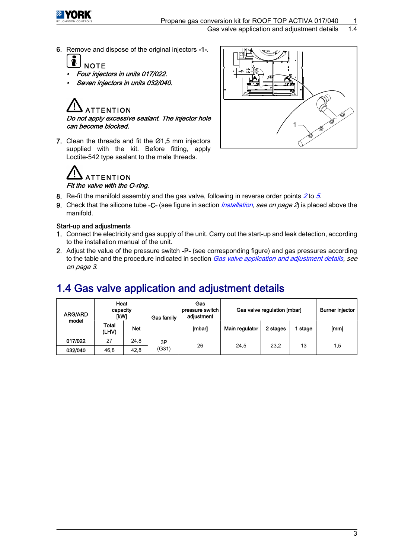<span id="page-4-0"></span>

6. Remove and dispose of the original injectors -1-.



- •Four injectors in units 017/022.
- •Seven injectors in units 032/040.

### TENTION Do not apply excessive sealant. The injector hole can become blocked.

7. Clean the threads and fit the Ø1,5 mm injectors supplied with the kit. Before fitting, apply Loctite-542 type sealant to the male threads.





- 8. Re-fit the manifold assembly and the gas valve, following in reverse order points  $2$  to 5.
- 9. Check that the silicone tube -C- (see figure in section *[Installation](#page-3-0), see on page 2*) is placed above the manifold.

### Start-up and adjustments

- 1. Connect the electricity and gas supply of the unit. Carry out the start-up and leak detection, according to the installation manual of the unit.
- 2. Adjust the value of the pressure switch -P- (see corresponding figure) and gas pressures according to the table and the procedure indicated in section Gas valve application and adjustment details, see on page 3.

### 1.4 Gas valve application and adjustment details

| <b>ARG/ARD</b><br>model | Heat<br>capacity<br><b>IKWI</b> |            | Gas<br>pressure switch<br>adjustment<br><b>Gas family</b> | Gas valve regulation [mbar] |                |          | <b>Burner injector</b> |      |
|-------------------------|---------------------------------|------------|-----------------------------------------------------------|-----------------------------|----------------|----------|------------------------|------|
|                         | Total<br>(LHV)                  | <b>Net</b> |                                                           | [mbar]                      | Main regulator | 2 stages | stage                  | [mm] |
| 017/022                 | 27                              | 24,8       | 3P<br>(G31)                                               | 26                          | 24,5           | 23.2     | 13                     | 1,5  |
| 032/040                 | 46,8                            | 42,8       |                                                           |                             |                |          |                        |      |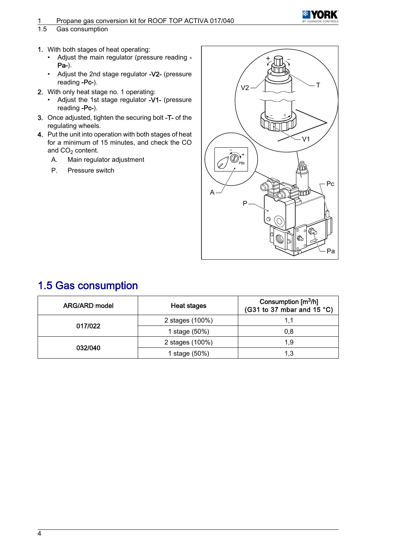# <span id="page-5-0"></span>1 Propane gas conversion kit for ROOF TOP ACTIVA 017/040<br>1.5 Gas consumption

#### Gas consumption

- 1. With both stages of heat operating:
	- Adjust the main regulator (pressure reading Pa-).
	- Adjust the 2nd stage regulator -V2- (pressure reading -Pc-).
- 2. With only heat stage no. 1 operating:
	- Adjust the 1st stage regulator -V1- (pressure reading -Pc-).
- 3. Once adjusted, tighten the securing bolt -T- of the regulating wheels.
- 4. Put the unit into operation with both stages of heat for a minimum of 15 minutes, and check the CO and  $CO<sub>2</sub>$  content.
	- A. Main regulator adjustment
	- P. Pressure switch



YORK

### 1.5 Gas consumption

| ARG/ARD model | <b>Heat stages</b> | Consumption $\text{[m}^3/\text{h}\text{]}$<br>(G31 to 37 mbar and $15 °C$ ) |
|---------------|--------------------|-----------------------------------------------------------------------------|
|               | 2 stages (100%)    | 1.1                                                                         |
| 017/022       | 1 stage (50%)      | 0.8                                                                         |
|               | 2 stages (100%)    | 1.9                                                                         |
| 032/040       | 1 stage (50%)      | 1.3                                                                         |